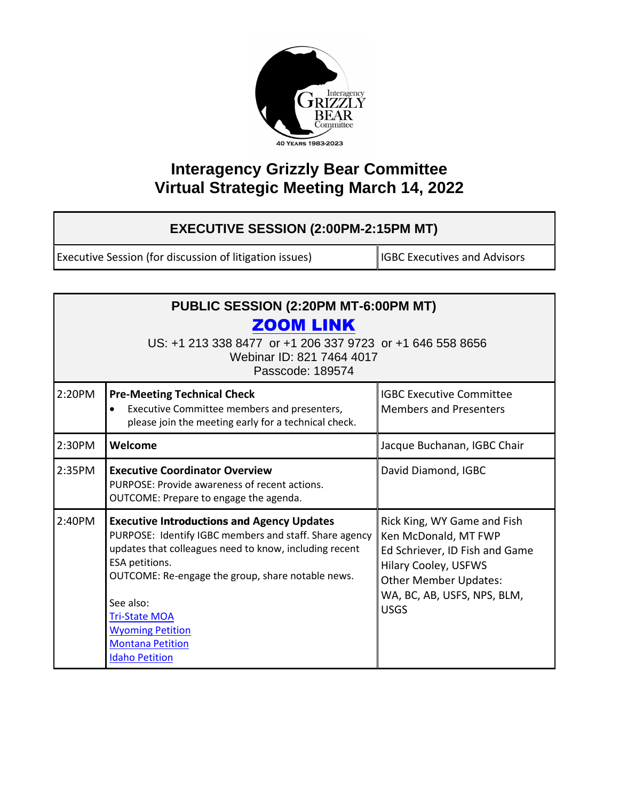

## **Interagency Grizzly Bear Committee Virtual Strategic Meeting March 14, 2022**

## **EXECUTIVE SESSION (2:00PM-2:15PM MT)**

Executive Session (for discussion of litigation issues) **IGBC** Executives and Advisors

| PUBLIC SESSION (2:20PM MT-6:00PM MT)<br><b>ZOOM LINK</b><br>US: +1 213 338 8477 or +1 206 337 9723 or +1 646 558 8656<br>Webinar ID: 821 7464 4017<br>Passcode: 189574 |                                                                                                                                                                                                                                                                                                                                                                  |                                                                                                                                                                                                    |  |  |
|------------------------------------------------------------------------------------------------------------------------------------------------------------------------|------------------------------------------------------------------------------------------------------------------------------------------------------------------------------------------------------------------------------------------------------------------------------------------------------------------------------------------------------------------|----------------------------------------------------------------------------------------------------------------------------------------------------------------------------------------------------|--|--|
| 2:20PM                                                                                                                                                                 | <b>Pre-Meeting Technical Check</b><br>Executive Committee members and presenters,<br>$\bullet$<br>please join the meeting early for a technical check.                                                                                                                                                                                                           | <b>IGBC Executive Committee</b><br><b>Members and Presenters</b>                                                                                                                                   |  |  |
| 2:30PM                                                                                                                                                                 | Welcome                                                                                                                                                                                                                                                                                                                                                          | Jacque Buchanan, IGBC Chair                                                                                                                                                                        |  |  |
| 2:35PM                                                                                                                                                                 | <b>Executive Coordinator Overview</b><br>PURPOSE: Provide awareness of recent actions.<br>OUTCOME: Prepare to engage the agenda.                                                                                                                                                                                                                                 | David Diamond, IGBC                                                                                                                                                                                |  |  |
| 2:40PM                                                                                                                                                                 | <b>Executive Introductions and Agency Updates</b><br>PURPOSE: Identify IGBC members and staff. Share agency<br>updates that colleagues need to know, including recent<br>ESA petitions.<br>OUTCOME: Re-engage the group, share notable news.<br>See also:<br><b>Tri-State MOA</b><br><b>Wyoming Petition</b><br><b>Montana Petition</b><br><b>Idaho Petition</b> | Rick King, WY Game and Fish<br>Ken McDonald, MT FWP<br>Ed Schriever, ID Fish and Game<br><b>Hilary Cooley, USFWS</b><br><b>Other Member Updates:</b><br>WA, BC, AB, USFS, NPS, BLM,<br><b>USGS</b> |  |  |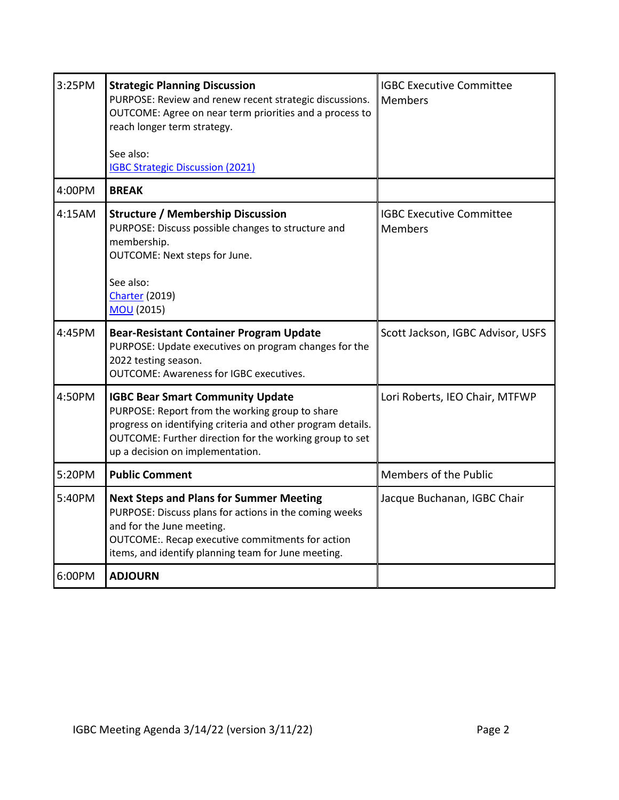| 3:25PM | <b>Strategic Planning Discussion</b><br>PURPOSE: Review and renew recent strategic discussions.<br>OUTCOME: Agree on near term priorities and a process to<br>reach longer term strategy.<br>See also:                                                   | <b>IGBC Executive Committee</b><br><b>Members</b> |
|--------|----------------------------------------------------------------------------------------------------------------------------------------------------------------------------------------------------------------------------------------------------------|---------------------------------------------------|
|        | <b>IGBC Strategic Discussion (2021)</b>                                                                                                                                                                                                                  |                                                   |
| 4:00PM | <b>BREAK</b>                                                                                                                                                                                                                                             |                                                   |
| 4:15AM | <b>Structure / Membership Discussion</b><br>PURPOSE: Discuss possible changes to structure and<br>membership.<br>OUTCOME: Next steps for June.<br>See also:<br><b>Charter (2019)</b><br><b>MOU</b> (2015)                                                | <b>IGBC Executive Committee</b><br><b>Members</b> |
| 4:45PM | <b>Bear-Resistant Container Program Update</b><br>PURPOSE: Update executives on program changes for the<br>2022 testing season.<br><b>OUTCOME: Awareness for IGBC executives.</b>                                                                        | Scott Jackson, IGBC Advisor, USFS                 |
| 4:50PM | <b>IGBC Bear Smart Community Update</b><br>PURPOSE: Report from the working group to share<br>progress on identifying criteria and other program details.<br>OUTCOME: Further direction for the working group to set<br>up a decision on implementation. | Lori Roberts, IEO Chair, MTFWP                    |
| 5:20PM | <b>Public Comment</b>                                                                                                                                                                                                                                    | Members of the Public                             |
| 5:40PM | <b>Next Steps and Plans for Summer Meeting</b><br>PURPOSE: Discuss plans for actions in the coming weeks<br>and for the June meeting.<br>OUTCOME:. Recap executive commitments for action<br>items, and identify planning team for June meeting.         | Jacque Buchanan, IGBC Chair                       |
| 6:00PM | <b>ADJOURN</b>                                                                                                                                                                                                                                           |                                                   |